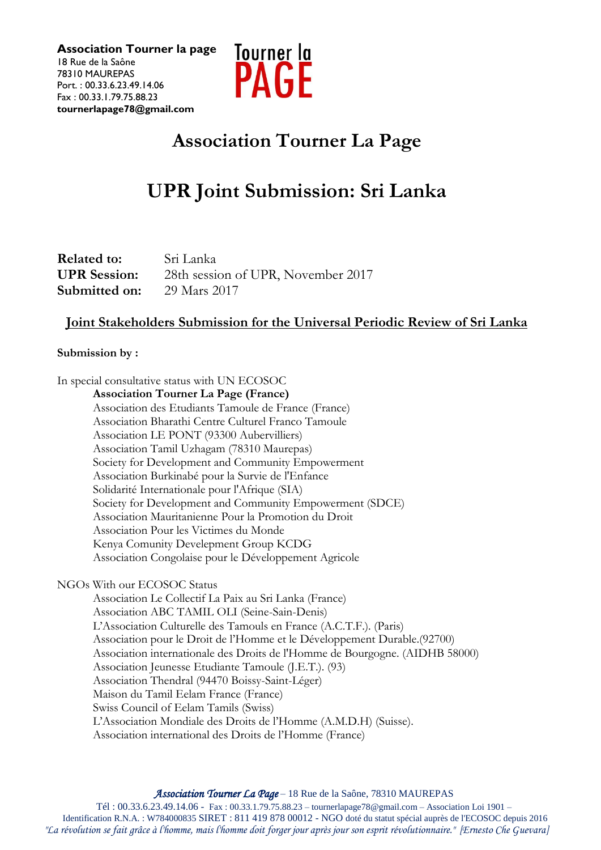

# **Association Tourner La Page**

# **UPR Joint Submission: Sri Lanka**

| <b>Related to:</b>  | Sri Lanka                          |
|---------------------|------------------------------------|
| <b>UPR</b> Session: | 28th session of UPR, November 2017 |
| Submitted on:       | 29 Mars 2017                       |

# **Joint Stakeholders Submission for the Universal Periodic Review of Sri Lanka**

### **Submission by :**

In special consultative status with UN ECOSOC

**Association Tourner La Page (France)** Association des Etudiants Tamoule de France (France) Association Bharathi Centre Culturel Franco Tamoule Association LE PONT (93300 Aubervilliers) Association Tamil Uzhagam (78310 Maurepas) Society for Development and Community Empowerment Association Burkinabé pour la Survie de l'Enfance Solidarité Internationale pour l'Afrique (SIA) Society for Development and Community Empowerment (SDCE) Association Mauritanienne Pour la Promotion du Droit Association Pour les Victimes du Monde Kenya Comunity Develepment Group KCDG Association Congolaise pour le Développement Agricole

# NGOs With our ECOSOC Status

Association Le Collectif La Paix au Sri Lanka (France) Association ABC TAMIL OLI (Seine-Sain-Denis) L'Association Culturelle des Tamouls en France (A.C.T.F.). (Paris) Association pour le Droit de l'Homme et le Développement Durable.(92700) Association internationale des Droits de l'Homme de Bourgogne. (AIDHB 58000) Association Jeunesse Etudiante Tamoule (J.E.T.). (93) Association Thendral (94470 Boissy-Saint-Léger) Maison du Tamil Eelam France (France) Swiss Council of Eelam Tamils (Swiss) L'Association Mondiale des Droits de l'Homme (A.M.D.H) (Suisse). Association international des Droits de l'Homme (France)

*Association Tourner La Page* – 18 Rue de la Saône, 78310 MAUREPAS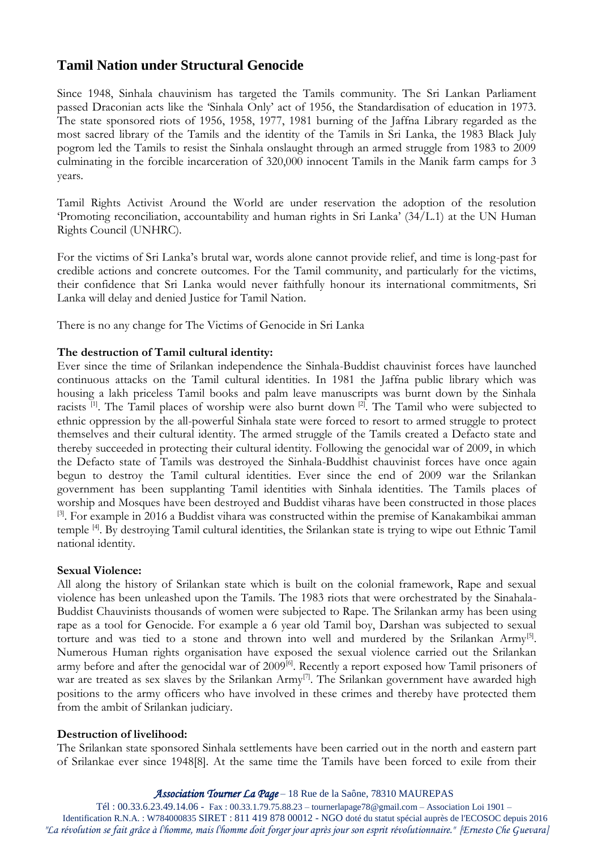# **Tamil Nation under Structural Genocide**

Since 1948, Sinhala chauvinism has targeted the Tamils community. The Sri Lankan Parliament passed Draconian acts like the 'Sinhala Only' act of 1956, the Standardisation of education in 1973. The state sponsored riots of 1956, 1958, 1977, 1981 burning of the Jaffna Library regarded as the most sacred library of the Tamils and the identity of the Tamils in Sri Lanka, the 1983 Black July pogrom led the Tamils to resist the Sinhala onslaught through an armed struggle from 1983 to 2009 culminating in the forcible incarceration of 320,000 innocent Tamils in the Manik farm camps for 3 years.

Tamil Rights Activist Around the World are under reservation the adoption of the resolution 'Promoting reconciliation, accountability and human rights in Sri Lanka' (34/L.1) at the UN Human Rights Council (UNHRC).

For the victims of Sri Lanka's brutal war, words alone cannot provide relief, and time is long-past for credible actions and concrete outcomes. For the Tamil community, and particularly for the victims, their confidence that Sri Lanka would never faithfully honour its international commitments, Sri Lanka will delay and denied Justice for Tamil Nation.

There is no any change for The Victims of Genocide in Sri Lanka

### **The destruction of Tamil cultural identity:**

Ever since the time of Srilankan independence the Sinhala-Buddist chauvinist forces have launched continuous attacks on the Tamil cultural identities. In 1981 the Jaffna public library which was housing a lakh priceless Tamil books and palm leave manuscripts was burnt down by the Sinhala racists  $[1]$ . The Tamil places of worship were also burnt down  $[2]$ . The Tamil who were subjected to ethnic oppression by the all-powerful Sinhala state were forced to resort to armed struggle to protect themselves and their cultural identity. The armed struggle of the Tamils created a Defacto state and thereby succeeded in protecting their cultural identity. Following the genocidal war of 2009, in which the Defacto state of Tamils was destroyed the Sinhala-Buddhist chauvinist forces have once again begun to destroy the Tamil cultural identities. Ever since the end of 2009 war the Srilankan government has been supplanting Tamil identities with Sinhala identities. The Tamils places of worship and Mosques have been destroyed and Buddist viharas have been constructed in those places <sup>[3]</sup>. For example in 2016 a Buddist vihara was constructed within the premise of Kanakambikai amman temple [4]. By destroying Tamil cultural identities, the Srilankan state is trying to wipe out Ethnic Tamil national identity.

### **Sexual Violence:**

All along the history of Srilankan state which is built on the colonial framework, Rape and sexual violence has been unleashed upon the Tamils. The 1983 riots that were orchestrated by the Sinahala-Buddist Chauvinists thousands of women were subjected to Rape. The Srilankan army has been using rape as a tool for Genocide. For example a 6 year old Tamil boy, Darshan was subjected to sexual torture and was tied to a stone and thrown into well and murdered by the Srilankan Army<sup>[5]</sup>. Numerous Human rights organisation have exposed the sexual violence carried out the Srilankan army before and after the genocidal war of 2009<sup>[6]</sup>. Recently a report exposed how Tamil prisoners of war are treated as sex slaves by the Srilankan Army<sup>[7]</sup>. The Srilankan government have awarded high positions to the army officers who have involved in these crimes and thereby have protected them from the ambit of Srilankan judiciary.

### **Destruction of livelihood:**

The Srilankan state sponsored Sinhala settlements have been carried out in the north and eastern part of Srilankae ever since 1948[8]. At the same time the Tamils have been forced to exile from their

#### *Association Tourner La Page* – 18 Rue de la Saône, 78310 MAUREPAS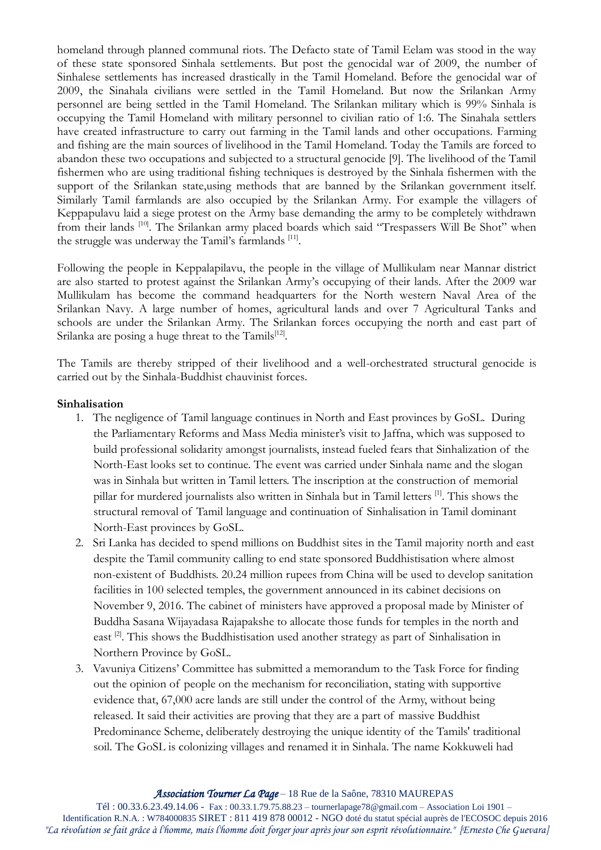homeland through planned communal riots. The Defacto state of Tamil Eelam was stood in the way of these state sponsored Sinhala settlements. But post the genocidal war of 2009, the number of Sinhalese settlements has increased drastically in the Tamil Homeland. Before the genocidal war of 2009, the Sinahala civilians were settled in the Tamil Homeland. But now the Srilankan Army personnel are being settled in the Tamil Homeland. The Srilankan military which is 99% Sinhala is occupying the Tamil Homeland with military personnel to civilian ratio of 1:6. The Sinahala settlers have created infrastructure to carry out farming in the Tamil lands and other occupations. Farming and fishing are the main sources of livelihood in the Tamil Homeland. Today the Tamils are forced to abandon these two occupations and subjected to a structural genocide [9]. The livelihood of the Tamil fishermen who are using traditional fishing techniques is destroyed by the Sinhala fishermen with the support of the Srilankan state,using methods that are banned by the Srilankan government itself. Similarly Tamil farmlands are also occupied by the Srilankan Army. For example the villagers of Keppapulavu laid a siege protest on the Army base demanding the army to be completely withdrawn from their lands [10]. The Srilankan army placed boards which said "Trespassers Will Be Shot" when the struggle was underway the Tamil's farmlands [11].

Following the people in Keppalapilavu, the people in the village of Mullikulam near Mannar district are also started to protest against the Srilankan Army's occupying of their lands. After the 2009 war Mullikulam has become the command headquarters for the North western Naval Area of the Srilankan Navy. A large number of homes, agricultural lands and over 7 Agricultural Tanks and schools are under the Srilankan Army. The Srilankan forces occupying the north and east part of Srilanka are posing a huge threat to the Tamils<sup>[12]</sup>.

The Tamils are thereby stripped of their livelihood and a well-orchestrated structural genocide is carried out by the Sinhala-Buddhist chauvinist forces.

### **Sinhalisation**

- 1. The negligence of Tamil language continues in North and East provinces by GoSL. During the Parliamentary Reforms and Mass Media minister's visit to Jaffna, which was supposed to build professional solidarity amongst journalists, instead fueled fears that Sinhalization of the North-East looks set to continue. The event was carried under Sinhala name and the slogan was in Sinhala but written in Tamil letters. The inscription at the construction of memorial pillar for murdered journalists also written in Sinhala but in Tamil letters [1]. This shows the structural removal of Tamil language and continuation of Sinhalisation in Tamil dominant North-East provinces by GoSL.
- 2. Sri Lanka has decided to spend millions on Buddhist sites in the Tamil majority north and east despite the Tamil community calling to end state sponsored Buddhistisation where almost non-existent of Buddhists. 20.24 million rupees from China will be used to develop sanitation facilities in 100 selected temples, the government announced in its cabinet decisions on November 9, 2016. The cabinet of ministers have approved a proposal made by Minister of Buddha Sasana Wijayadasa Rajapakshe to allocate those funds for temples in the north and east  $[2]$ . This shows the Buddhistisation used another strategy as part of Sinhalisation in Northern Province by GoSL.
- 3. Vavuniya Citizens' Committee has submitted a memorandum to the Task Force for finding out the opinion of people on the mechanism for reconciliation, stating with supportive evidence that, 67,000 acre lands are still under the control of the Army, without being released. It said their activities are proving that they are a part of massive Buddhist Predominance Scheme, deliberately destroying the unique identity of the Tamils' traditional soil. The GoSL is colonizing villages and renamed it in Sinhala. The name Kokkuweli had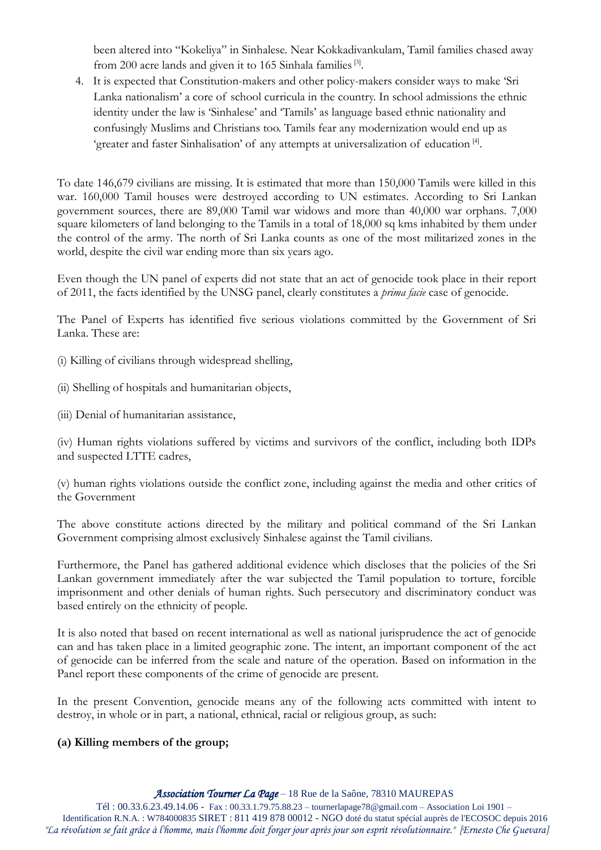been altered into "Kokeliya" in Sinhalese. Near Kokkadivankulam, Tamil families chased away from 200 acre lands and given it to 165 Sinhala families<sup>[3]</sup>.

4. It is expected that Constitution-makers and other policy-makers consider ways to make 'Sri Lanka nationalism' a core of school curricula in the country. In school admissions the ethnic identity under the law is 'Sinhalese' and 'Tamils' as language based ethnic nationality and confusingly Muslims and Christians too. Tamils fear any modernization would end up as 'greater and faster Sinhalisation' of any attempts at universalization of education<sup>[4]</sup>.

To date 146,679 civilians are missing. It is estimated that more than 150,000 Tamils were killed in this war. 160,000 Tamil houses were destroyed according to UN estimates. According to Sri Lankan government sources, there are 89,000 Tamil war widows and more than 40,000 war orphans. 7,000 square kilometers of land belonging to the Tamils in a total of 18,000 sq kms inhabited by them under the control of the army. The north of Sri Lanka counts as one of the most militarized zones in the world, despite the civil war ending more than six years ago.

Even though the UN panel of experts did not state that an act of genocide took place in their report of 2011, the facts identified by the UNSG panel, clearly constitutes a *prima facie* case of genocide.

The Panel of Experts has identified five serious violations committed by the Government of Sri Lanka. These are:

(i) Killing of civilians through widespread shelling,

(ii) Shelling of hospitals and humanitarian objects,

(iii) Denial of humanitarian assistance,

(iv) Human rights violations suffered by victims and survivors of the conflict, including both IDPs and suspected LTTE cadres,

(v) human rights violations outside the conflict zone, including against the media and other critics of the Government

The above constitute actions directed by the military and political command of the Sri Lankan Government comprising almost exclusively Sinhalese against the Tamil civilians.

Furthermore, the Panel has gathered additional evidence which discloses that the policies of the Sri Lankan government immediately after the war subjected the Tamil population to torture, forcible imprisonment and other denials of human rights. Such persecutory and discriminatory conduct was based entirely on the ethnicity of people.

It is also noted that based on recent international as well as national jurisprudence the act of genocide can and has taken place in a limited geographic zone. The intent, an important component of the act of genocide can be inferred from the scale and nature of the operation. Based on information in the Panel report these components of the crime of genocide are present.

In the present Convention, genocide means any of the following acts committed with intent to destroy, in whole or in part, a national, ethnical, racial or religious group, as such:

### **(a) Killing members of the group;**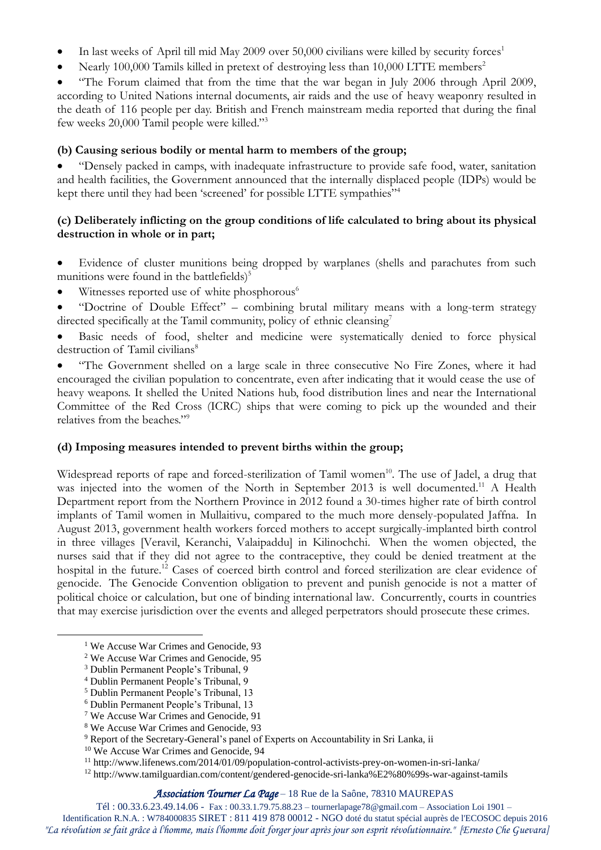- In last weeks of April till mid May 2009 over 50,000 civilians were killed by security forces<sup>1</sup>
- Nearly 100,000 Tamils killed in pretext of destroying less than 10,000 LTTE members<sup>2</sup>

 "The Forum claimed that from the time that the war began in July 2006 through April 2009, according to United Nations internal documents, air raids and the use of heavy weaponry resulted in the death of 116 people per day. British and French mainstream media reported that during the final few weeks 20,000 Tamil people were killed."<sup>3</sup>

### **(b) Causing serious bodily or mental harm to members of the group;**

 "Densely packed in camps, with inadequate infrastructure to provide safe food, water, sanitation and health facilities, the Government announced that the internally displaced people (IDPs) would be kept there until they had been 'screened' for possible LTTE sympathies"<sup>4</sup>

### **(c) Deliberately inflicting on the group conditions of life calculated to bring about its physical destruction in whole or in part;**

- Evidence of cluster munitions being dropped by warplanes (shells and parachutes from such munitions were found in the battlefields) $5$
- $\bullet$  Witnesses reported use of white phosphorous<sup>6</sup>
- "Doctrine of Double Effect" combining brutal military means with a long-term strategy directed specifically at the Tamil community, policy of ethnic cleansing<sup>7</sup>
- Basic needs of food, shelter and medicine were systematically denied to force physical destruction of Tamil civilians<sup>8</sup>

 "The Government shelled on a large scale in three consecutive No Fire Zones, where it had encouraged the civilian population to concentrate, even after indicating that it would cease the use of heavy weapons. It shelled the United Nations hub, food distribution lines and near the International Committee of the Red Cross (ICRC) ships that were coming to pick up the wounded and their relatives from the beaches."<sup>9</sup>

### **(d) Imposing measures intended to prevent births within the group;**

Widespread reports of rape and forced-sterilization of Tamil women<sup>10</sup>. The use of Jadel, a drug that was injected into the women of the North in September 2013 is well documented.<sup>11</sup> A Health Department report from the Northern Province in 2012 found a 30-times higher rate of birth control implants of Tamil women in Mullaitivu, compared to the much more densely-populated Jaffna. In August 2013, government health workers forced mothers to accept surgically-implanted birth control in three villages [Veravil, Keranchi, Valaipaddu] in Kilinochchi. When the women objected, the nurses said that if they did not agree to the contraceptive, they could be denied treatment at the hospital in the future.<sup>12</sup> Cases of coerced birth control and forced sterilization are clear evidence of genocide. The Genocide Convention obligation to prevent and punish genocide is not a matter of political choice or calculation, but one of binding international law. Concurrently, courts in countries that may exercise jurisdiction over the events and alleged perpetrators should prosecute these crimes.

<u>.</u>

#### *Association Tourner La Page* – 18 Rue de la Saône, 78310 MAUREPAS

Tél : 00.33.6.23.49.14.06 - Fax : 00.33.1.79.75.88.23 – tournerlapage78@gmail.com – Association Loi 1901 –

Identification R.N.A. : W784000835 SIRET : 811 419 878 00012 - NGO doté du statut spécial auprès de l'ECOSOC depuis 2016 *"La révolution se fait grâce à l'homme, mais l'homme doit forger jour après jour son esprit révolutionnaire." [Ernesto Che Guevara]*

<sup>&</sup>lt;sup>1</sup> We Accuse War Crimes and Genocide, 93

<sup>2</sup> We Accuse War Crimes and Genocide, 95

<sup>3</sup> Dublin Permanent People's Tribunal, 9

<sup>4</sup> Dublin Permanent People's Tribunal, 9

<sup>5</sup> Dublin Permanent People's Tribunal, 13

<sup>6</sup> Dublin Permanent People's Tribunal, 13

<sup>7</sup> We Accuse War Crimes and Genocide, 91

<sup>8</sup> We Accuse War Crimes and Genocide, 93

<sup>&</sup>lt;sup>9</sup> Report of the Secretary-General's panel of Experts on Accountability in Sri Lanka, ii

<sup>10</sup> We Accuse War Crimes and Genocide, 94

<sup>11</sup> http://www.lifenews.com/2014/01/09/population-control-activists-prey-on-women-in-sri-lanka/

<sup>12</sup> http://www.tamilguardian.com/content/gendered-genocide-sri-lanka%E2%80%99s-war-against-tamils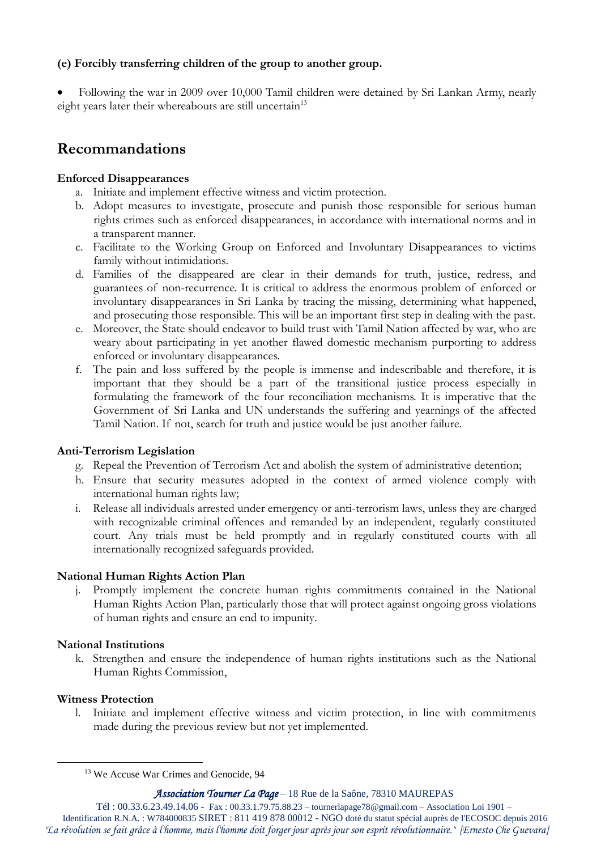### **(e) Forcibly transferring children of the group to another group.**

 Following the war in 2009 over 10,000 Tamil children were detained by Sri Lankan Army, nearly eight years later their whereabouts are still uncertain<sup>13</sup>

# **Recommandations**

### **Enforced Disappearances**

- a. Initiate and implement effective witness and victim protection.
- b. Adopt measures to investigate, prosecute and punish those responsible for serious human rights crimes such as enforced disappearances, in accordance with international norms and in a transparent manner.
- c. Facilitate to the Working Group on Enforced and Involuntary Disappearances to victims family without intimidations.
- d. Families of the disappeared are clear in their demands for truth, justice, redress, and guarantees of non-recurrence. It is critical to address the enormous problem of enforced or involuntary disappearances in Sri Lanka by tracing the missing, determining what happened, and prosecuting those responsible. This will be an important first step in dealing with the past.
- e. Moreover, the State should endeavor to build trust with Tamil Nation affected by war, who are weary about participating in yet another flawed domestic mechanism purporting to address enforced or involuntary disappearances.
- f. The pain and loss suffered by the people is immense and indescribable and therefore, it is important that they should be a part of the transitional justice process especially in formulating the framework of the four reconciliation mechanisms. It is imperative that the Government of Sri Lanka and UN understands the suffering and yearnings of the affected Tamil Nation. If not, search for truth and justice would be just another failure.

# **Anti-Terrorism Legislation**

- g. Repeal the Prevention of Terrorism Act and abolish the system of administrative detention;
- h. Ensure that security measures adopted in the context of armed violence comply with international human rights law;
- i. Release all individuals arrested under emergency or anti-terrorism laws, unless they are charged with recognizable criminal offences and remanded by an independent, regularly constituted court. Any trials must be held promptly and in regularly constituted courts with all internationally recognized safeguards provided.

# **National Human Rights Action Plan**

j. Promptly implement the concrete human rights commitments contained in the National Human Rights Action Plan, particularly those that will protect against ongoing gross violations of human rights and ensure an end to impunity.

### **National Institutions**

k. Strengthen and ensure the independence of human rights institutions such as the National Human Rights Commission,

### **Witness Protection**

<u>.</u>

l. Initiate and implement effective witness and victim protection, in line with commitments made during the previous review but not yet implemented.

*Association Tourner La Page* – 18 Rue de la Saône, 78310 MAUREPAS

<sup>&</sup>lt;sup>13</sup> We Accuse War Crimes and Genocide, 94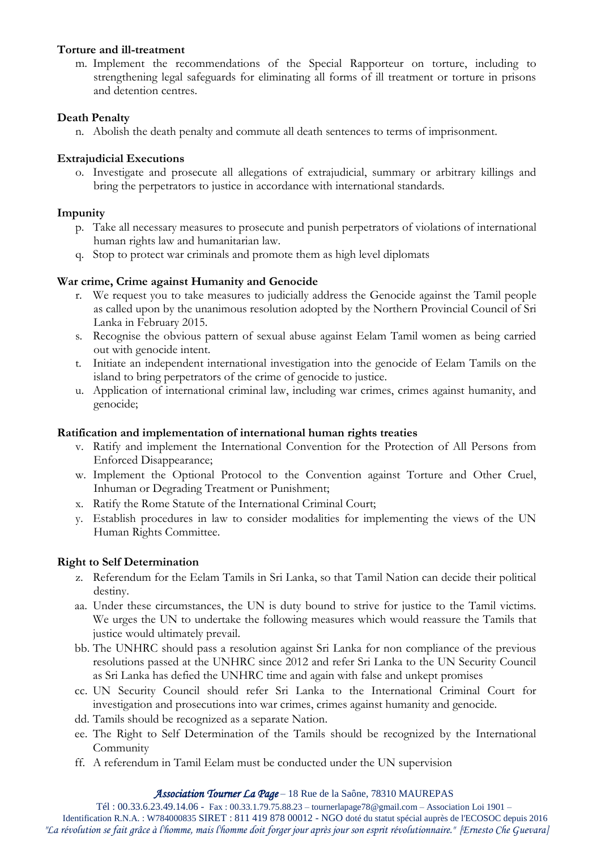### **Torture and ill-treatment**

m. Implement the recommendations of the Special Rapporteur on torture, including to strengthening legal safeguards for eliminating all forms of ill treatment or torture in prisons and detention centres.

# **Death Penalty**

n. Abolish the death penalty and commute all death sentences to terms of imprisonment.

# **Extrajudicial Executions**

o. Investigate and prosecute all allegations of extrajudicial, summary or arbitrary killings and bring the perpetrators to justice in accordance with international standards.

# **Impunity**

- p. Take all necessary measures to prosecute and punish perpetrators of violations of international human rights law and humanitarian law.
- q. Stop to protect war criminals and promote them as high level diplomats

# **War crime, Crime against Humanity and Genocide**

- r. We request you to take measures to judicially address the Genocide against the Tamil people as called upon by the unanimous resolution adopted by the Northern Provincial Council of Sri Lanka in February 2015.
- s. Recognise the obvious pattern of sexual abuse against Eelam Tamil women as being carried out with genocide intent.
- t. Initiate an independent international investigation into the genocide of Eelam Tamils on the island to bring perpetrators of the crime of genocide to justice.
- u. Application of international criminal law, including war crimes, crimes against humanity, and genocide;

# **Ratification and implementation of international human rights treaties**

- v. Ratify and implement the International Convention for the Protection of All Persons from Enforced Disappearance;
- w. Implement the Optional Protocol to the Convention against Torture and Other Cruel, Inhuman or Degrading Treatment or Punishment;
- x. Ratify the Rome Statute of the International Criminal Court;
- y. Establish procedures in law to consider modalities for implementing the views of the UN Human Rights Committee.

# **Right to Self Determination**

- z. Referendum for the Eelam Tamils in Sri Lanka, so that Tamil Nation can decide their political destiny.
- aa. Under these circumstances, the UN is duty bound to strive for justice to the Tamil victims. We urges the UN to undertake the following measures which would reassure the Tamils that justice would ultimately prevail.
- bb. The UNHRC should pass a resolution against Sri Lanka for non compliance of the previous resolutions passed at the UNHRC since 2012 and refer Sri Lanka to the UN Security Council as Sri Lanka has defied the UNHRC time and again with false and unkept promises
- cc. UN Security Council should refer Sri Lanka to the International Criminal Court for investigation and prosecutions into war crimes, crimes against humanity and genocide.
- dd. Tamils should be recognized as a separate Nation.
- ee. The Right to Self Determination of the Tamils should be recognized by the International Community
- ff. A referendum in Tamil Eelam must be conducted under the UN supervision

### *Association Tourner La Page* – 18 Rue de la Saône, 78310 MAUREPAS